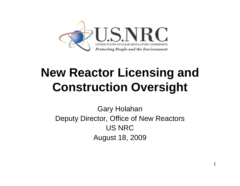

# **New Reactor Licensing and Construction Oversight**

Gary Holahan Deputy Director, Office of New Reactors US NRCAugust 18, 2009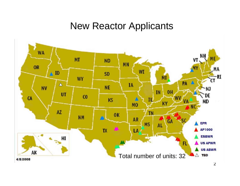### New Reactor Applicants

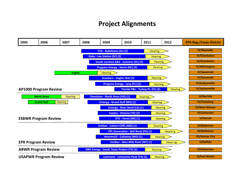#### **Project Alignments**

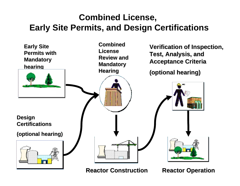### **Combined License, Early Site Permits, and Design Certifications**



**Reactor Construction Reactor Construction**

**Reactor Operation Reactor Operation**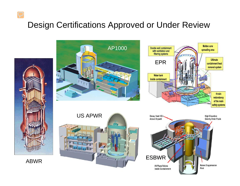### Design Certifications Approved or Under Review

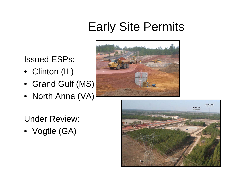# Early Site Permits

### Issued ESPs:

- Clinton (IL)
- Grand Gulf (MS)
- North Anna (VA)



Under Review:

• Vogtle (GA)

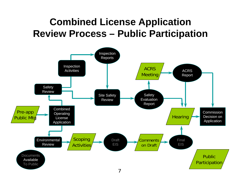### **Combined License Application Review Process – Public Participation**

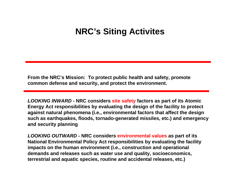### **NRC's Siting Activites**

**From the NRC's Mission: To protect public health and safety, promote common defense and security, and protect the environment.**

*LOOKING INWARD* **- NRC considers site safety factors as part of its Atomic Energy Act responsibilities by evaluating the design of the facility to protect against natural phenomena (i.e., environmental factors that affect the design such as earthquakes, floods, tornado-generated missiles, etc.) and emergency and security planning** 

*LOOKING OUTWARD* **- NRC considers environmental values as part of its National Environmental Policy Act responsibilities by evaluating the facility impacts on the human environment (i.e., construction and operational demands and releases such as water use and quality, socioeconomics, terrestrial and aquatic species, routine and accidental releases, etc.)**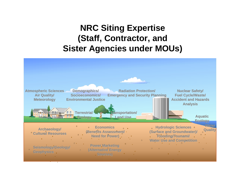### **NRC Siting Expertise (Staff, Contractor, and Sister Agencies under MOUs)**

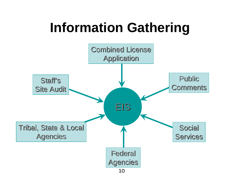# **Information Gathering**

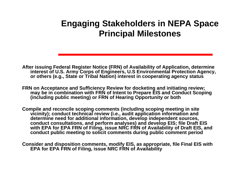### **Engaging Stakeholders in NEPA Space Principal Milestones**

- **After issuing Federal Register Notice (FRN) of Availability of Application, determine interest of U.S. Army Corps of Engineers, U.S Environmental Protection Agency, or others (e.g., State or Tribal Nation) interest in cooperating agency status**
- **FRN on Acceptance and Sufficiency Review for docketing and initiating review;**  may be in combination with FRN of Intent to Prepare EIS and Conduct Scoping **(including public meeting) or FRN of Hearing Opportunity or both**
- **Compile and reconcile scoping comments (including scoping meeting in site vicinity); conduct technical review (i.e., audit application information and determine need for additional information, develop independent sources, conduct consultations, and perform analyses) and develop EIS; file Draft EIS**  with EPA for EPA FRN of Filing, issue NRC FRN of Availability of Draft EIS, and **conduct public meeting to solicit comments during public comment period**
- **Consider and disposition comments, modify EIS, as appropriate, file Final EIS with EPA for EPA FRN of Filing, issue NRC FRN of Availability**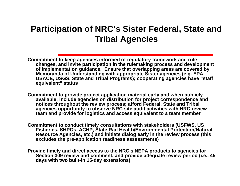### **Participation of NRC's Sister Federal, State and Tribal Agencies**

**Commitment to keep agencies informed of regulatory framework and rule changes, and invite participation in the rulemaking process and development of implementation guidance. Ensure that overlapping areas are covered by Memoranda of Understanding with appropriate Sister agencies (e.g. EPA, USACE, USGS, State and Tribal Programs); cooperating agencies have "staff equivalent" status** 

**Commitment to provide project application material early and when publicly available; include agencies on distribution for project correspondence and notices throughout the review process; afford Federal, State and Tribal agencies opportunity to observe NRC site audit activities with NRC review team and provide for logistics and access equivalent to a team member**

**Commitment to conduct timely consultations with stakeholders (USFWS, US Fisheries, SHPOs, ACHP, State Rad Health/Environmental Protection/Natural Resource Agencies, etc.) and initiate dialog early in the review process (this excludes the pre-application readiness assessments)** 

**Provide timely and direct access to the NRC's NEPA products to agencies for Section 309 review and comment, and provide adequate review period (i.e., 45 days with two built-in 15-day extensions)**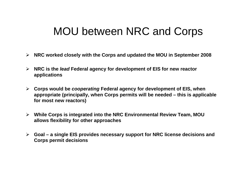### MOU between NRC and Corps

- **NRC worked closely with the Corps and updated the MOU in September 2008**
- **NRC is the** *lead* **Federal agency for development of EIS for new reactor applications**
- **Corps would be** *cooperating* **Federal agency for development of EIS, when appropriate (principally, when Corps permits will be needed – this is applicable for most new reactors)**
- **While Corps is integrated into the NRC Environmental Review Team, MOU allows flexibility for other approaches**
- **Goal a single EIS provides necessary support for NRC license decisions and Corps permit decisions**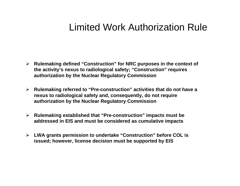### Limited Work Authorization Rule

- **Rulemaking defined "Construction" for NRC purposes in the context of the activity's nexus to radiological safety; "Construction" requires authorization by the Nuclear Regulatory Commission**
- **Rulemaking referred to "Pre-construction" activities that do not have a nexus to radiological safety and, consequently, do not require authorization by the Nuclear Regulatory Commission**
- **Rulemaking established that "Pre-construction" impacts must be addressed in EIS and must be considered as cumulative impacts**
- **LWA grants permission to undertake "Construction" before COL is issued; however, license decision must be supported by EIS**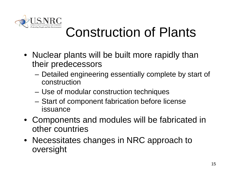

# Construction of Plants

- Nuclear plants will be built more rapidly than their predecessors
	- Detailed engineering essentially complete by start of construction
	- Use of modular construction techniques
	- Start of component fabrication before license issuance
- Components and modules will be fabricated in other countries
- Necessitates changes in NRC approach to oversight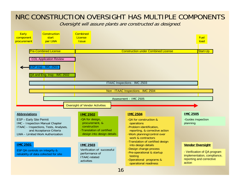#### NRC CONSTRUCTION OVERSIGHT HAS MULTIPLE COMPONENTS

Oversight will assure plants are constructed as designed.

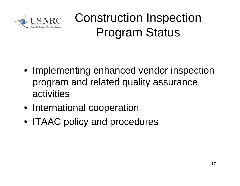

# Construction Inspection Program Status

- Implementing enhanced vendor inspection program and related quality assurance activities
- International cooperation
- ITAAC policy and procedures